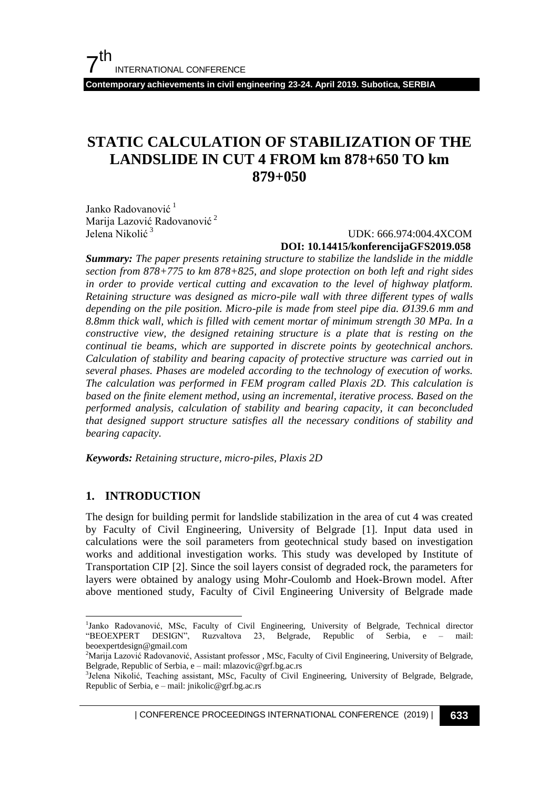**Contemporary achievements in civil engineering 23-24. April 2019. Subotica, SERBIA**

# **STATIC CALCULATION OF STABILIZATION OF THE LANDSLIDE IN CUT 4 FROM km 878+650 TO km 879+050**

Janko Radovanović<sup>1</sup> Marija Lazović Radovanović<sup>2</sup> Jelena Nikolić<sup>3</sup>

 UDK: 666.974:004.4XCOM **DOI: 10.14415/konferencijaGFS2019.058**

*Summary: The paper presents retaining structure to stabilize the landslide in the middle section from 878+775 to km 878+825, and slope protection on both left and right sides in order to provide vertical cutting and excavation to the level of highway platform. Retaining structure was designed as micro-pile wall with three different types of walls depending on the pile position. Micro-pile is made from steel pipe dia. Ø139.6 mm and 8.8mm thick wall, which is filled with cement mortar of minimum strength 30 MPa. In a constructive view, the designed retaining structure is a plate that is resting on the continual tie beams, which are supported in discrete points by geotechnical anchors. Calculation of stability and bearing capacity of protective structure was carried out in several phases. Phases are modeled according to the technology of execution of works. The calculation was performed in FEM program called Plaxis 2D. This calculation is*  based on the finite element method, using an incremental, iterative process. Based on the *performed analysis, calculation of stability and bearing capacity, it can beconcluded that designed support structure satisfies all the necessary conditions of stability and bearing capacity.*

*Keywords: Retaining structure, micro-piles, Plaxis 2D*

#### **1. INTRODUCTION**

 $\overline{a}$ 

The design for building permit for landslide stabilization in the area of cut 4 was created by Faculty of Civil Engineering, University of Belgrade [1]. Input data used in calculations were the soil parameters from geotechnical study based on investigation works and additional investigation works. This study was developed by Institute of Transportation CIP [2]. Since the soil layers consist of degraded rock, the parameters for layers were obtained by analogy using Mohr-Coulomb and Hoek-Brown model. After above mentioned study, Faculty of Civil Engineering University of Belgrade made

| CONFERENCE PROCEEDINGS INTERNATIONAL CONFERENCE (2019) <sup>|</sup>**633**

<sup>&</sup>lt;sup>1</sup>Janko Radovanović, MSc, Faculty of Civil Engineering, University of Belgrade, Technical director "BEOEXPERT DESIGN", Ruzvaltova 23, Belgrade, Republic of Serbia, e – mail: beoexpertdesign@gmail.com

<sup>2</sup>Marija Lazović Radovanović, Assistant professor , MSc, Faculty of Civil Engineering, University of Belgrade, Belgrade, Republic of Serbia, e – mail: mlazovic@grf.bg.ac.rs

<sup>&</sup>lt;sup>3</sup>Jelena Nikolić, Teaching assistant, MSc, Faculty of Civil Engineering, University of Belgrade, Belgrade, Republic of Serbia, e – mail: jnikolic@grf.bg.ac.rs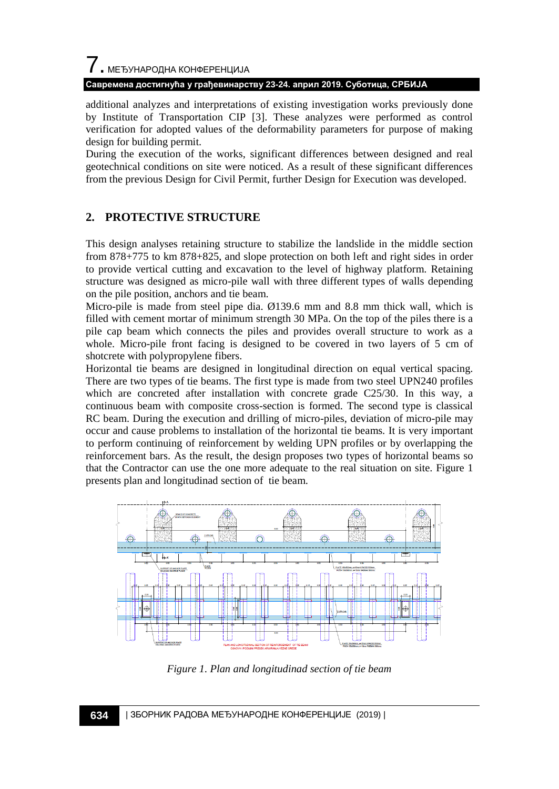# 7. МЕЂУНАРОДНА КОНФЕРЕНЦИЈА **Савремена достигнућа у грађевинарству 23-24. април 2019. Суботица, СРБИЈА**

additional analyzes and interpretations of existing investigation works previously done by Institute of Transportation CIP [3]. These analyzes were performed as control verification for adopted values of the deformability parameters for purpose of making design for building permit.

During the execution of the works, significant differences between designed and real geotechnical conditions on site were noticed. As a result of these significant differences from the previous Design for Civil Permit, further Design for Execution was developed.

# **2. PROTECTIVE STRUCTURE**

This design analyses retaining structure to stabilize the landslide in the middle section from 878+775 to km 878+825, and slope protection on both left and right sides in order to provide vertical cutting and excavation to the level of highway platform. Retaining structure was designed as micro-pile wall with three different types of walls depending on the pile position, anchors and tie beam.

Micro-pile is made from steel pipe dia. Ø139.6 mm and 8.8 mm thick wall, which is filled with cement mortar of minimum strength 30 MPa. On the top of the piles there is a pile cap beam which connects the piles and provides overall structure to work as a whole. Micro-pile front facing is designed to be covered in two layers of 5 cm of shotcrete with polypropylene fibers.

Horizontal tie beams are designed in longitudinal direction on equal vertical spacing. There are two types of tie beams. The first type is made from two steel UPN240 profiles which are concreted after installation with concrete grade C25/30. In this way, a continuous beam with composite cross-section is formed. The second type is classical RC beam. During the execution and drilling of micro-piles, deviation of micro-pile may occur and cause problems to installation of the horizontal tie beams. It is very important to perform continuing of reinforcement by welding UPN profiles or by overlapping the reinforcement bars. As the result, the design proposes two types of horizontal beams so that the Contractor can use the one more adequate to the real situation on site. Figure 1 presents plan and longitudinad section of tie beam.



*Figure 1. Plan and longitudinad section of tie beam*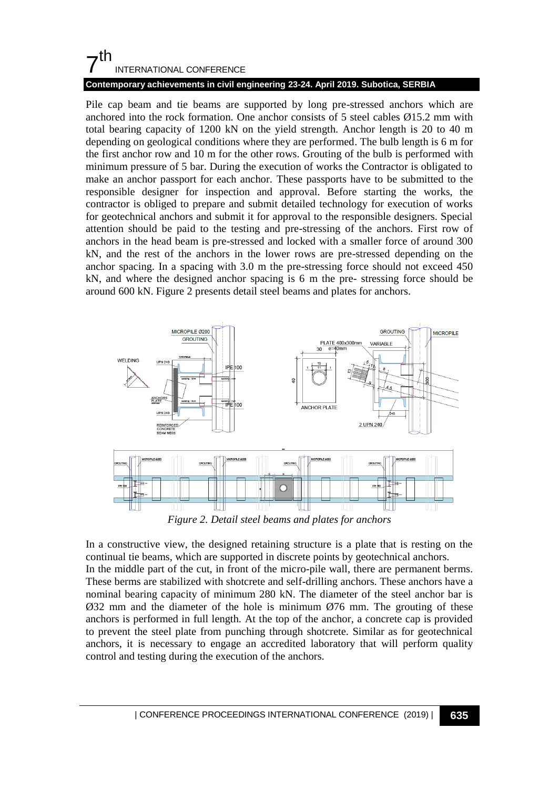# $7<sup>th</sup>$ INTERNATIONAL CONFERENCE

## **Contemporary achievements in civil engineering 23-24. April 2019. Subotica, SERBIA**

Pile cap beam and tie beams are supported by long pre-stressed anchors which are anchored into the rock formation. One anchor consists of 5 steel cables  $\varnothing$ 15.2 mm with total bearing capacity of 1200 kN on the yield strength. Anchor length is 20 to 40 m depending on geological conditions where they are performed. The bulb length is 6 m for the first anchor row and 10 m for the other rows. Grouting of the bulb is performed with minimum pressure of 5 bar. During the execution of works the Contractor is obligated to make an anchor passport for each anchor. These passports have to be submitted to the responsible designer for inspection and approval. Before starting the works, the contractor is obliged to prepare and submit detailed technology for execution of works for geotechnical anchors and submit it for approval to the responsible designers. Special attention should be paid to the testing and pre-stressing of the anchors. First row of anchors in the head beam is pre-stressed and locked with a smaller force of around 300 kN, and the rest of the anchors in the lower rows are pre-stressed depending on the anchor spacing. In a spacing with 3.0 m the pre-stressing force should not exceed 450 kN, and where the designed anchor spacing is 6 m the pre- stressing force should be around 600 kN. Figure 2 presents detail steel beams and plates for anchors.



*Figure 2. Detail steel beams and plates for anchors*

In a constructive view, the designed retaining structure is a plate that is resting on the continual tie beams, which are supported in discrete points by geotechnical anchors. In the middle part of the cut, in front of the micro-pile wall, there are permanent berms. These berms are stabilized with shotcrete and self-drilling anchors. These anchors have a nominal bearing capacity of minimum 280 kN. The diameter of the steel anchor bar is  $\varnothing$ 32 mm and the diameter of the hole is minimum  $\varnothing$ 76 mm. The grouting of these anchors is performed in full length. At the top of the anchor, a concrete cap is provided to prevent the steel plate from punching through shotcrete. Similar as for geotechnical anchors, it is necessary to engage an accredited laboratory that will perform quality control and testing during the execution of the anchors.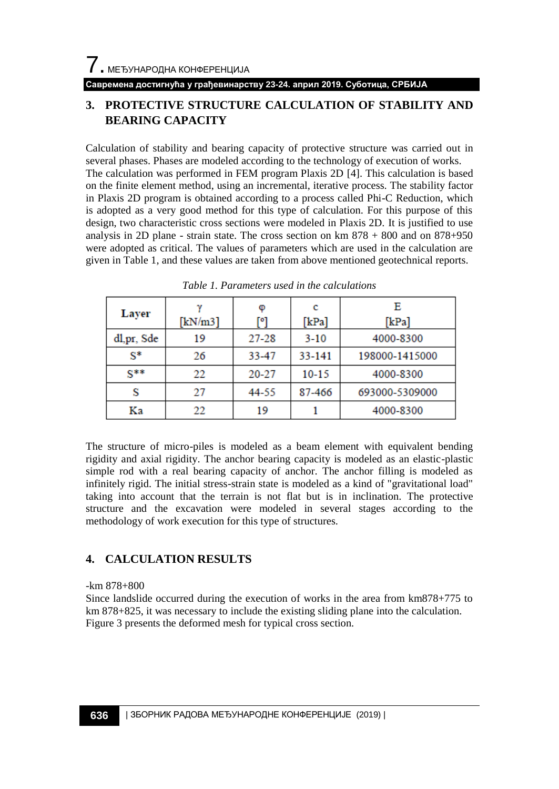#### **Савремена достигнућа у грађевинарству 23-24. април 2019. Суботица, СРБИЈА**

# **3. PROTECTIVE STRUCTURE CALCULATION OF STABILITY AND BEARING CAPACITY**

Calculation of stability and bearing capacity of protective structure was carried out in several phases. Phases are modeled according to the technology of execution of works. The calculation was performed in FEM program Plaxis 2D [4]. This calculation is based on the finite element method, using an incremental, iterative process. The stability factor in Plaxis 2D program is obtained according to a process called Phi-C Reduction, which is adopted as a very good method for this type of calculation. For this purpose of this design, two characteristic cross sections were modeled in Plaxis 2D. It is justified to use analysis in 2D plane - strain state. The cross section on km 878 + 800 and on 878+950 were adopted as critical. The values of parameters which are used in the calculation are given in Table 1, and these values are taken from above mentioned geotechnical reports.

| Layer      | [kN/m3] | Φ<br>[°]  | с<br>[kPa] | Е<br>[kPa]     |
|------------|---------|-----------|------------|----------------|
| dl,pr, Sde | 19      | 27-28     | $3 - 10$   | 4000-8300      |
| $S^*$      | 26      | 33-47     | 33-141     | 198000-1415000 |
| $S^{**}$   | 22      | $20 - 27$ | $10 - 15$  | 4000-8300      |
| S          | 27      | 44-55     | 87-466     | 693000-5309000 |
| Kа         | 22      | 19        |            | 4000-8300      |

*Table 1. Parameters used in the calculations*

The structure of micro-piles is modeled as a beam element with equivalent bending rigidity and axial rigidity. The anchor bearing capacity is modeled as an elastic-plastic simple rod with a real bearing capacity of anchor. The anchor filling is modeled as infinitely rigid. The initial stress-strain state is modeled as a kind of "gravitational load" taking into account that the terrain is not flat but is in inclination. The protective structure and the excavation were modeled in several stages according to the methodology of work execution for this type of structures.

# **4. CALCULATION RESULTS**

#### -km 878+800

Since landslide occurred during the execution of works in the area from km878+775 to km 878+825, it was necessary to include the existing sliding plane into the calculation. Figure 3 presents the deformed mesh for typical cross section.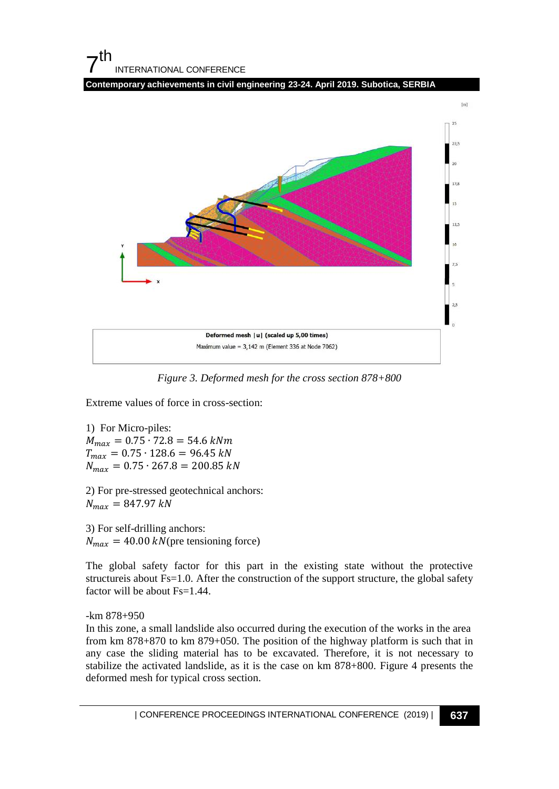



*Figure 3. Deformed mesh for the cross section 878+800*

Extreme values of force in cross-section:

1) For Micro-piles:  $M_{max} = 0.75 \cdot 72.8 = 54.6$  kNm  $T_{max} = 0.75 \cdot 128.6 = 96.45 kN$  $N_{max} = 0.75 \cdot 267.8 = 200.85 kN$ 

2) For pre-stressed geotechnical anchors:  $N_{max} = 847.97 kN$ 

3) For self-drilling anchors:  $N_{max}$  = 40.00 kN(pre tensioning force)

The global safety factor for this part in the existing state without the protective structureis about Fs=1.0. After the construction of the support structure, the global safety factor will be about Fs=1.44.

#### -km 878+950

In this zone, a small landslide also occurred during the execution of the works in the area from km 878+870 to km 879+050. The position of the highway platform is such that in any case the sliding material has to be excavated. Therefore, it is not necessary to stabilize the activated landslide, as it is the case on km 878+800. Figure 4 presents the deformed mesh for typical cross section.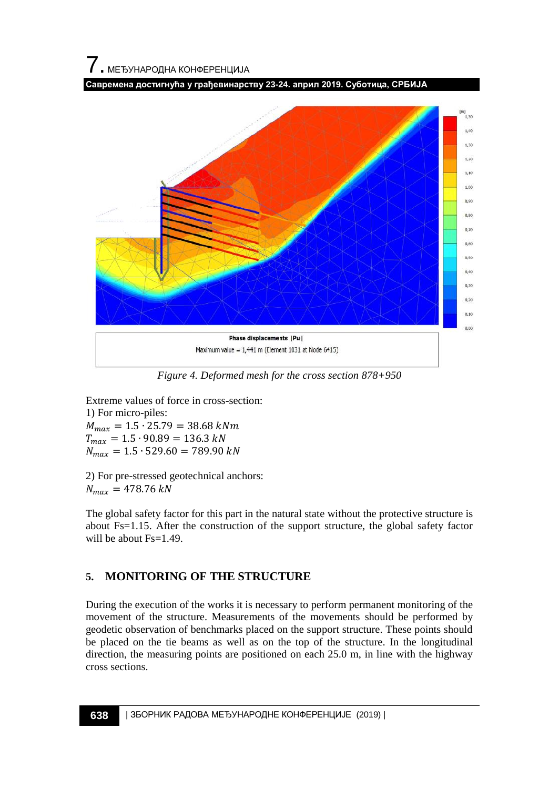# 7. МЕЂУНАРОДНА КОНФЕРЕНЦИЈА

**Савремена достигнућа у грађевинарству 23-24. април 2019. Суботица, СРБИЈА**



*Figure 4. Deformed mesh for the cross section 878+950*

Extreme values of force in cross-section: 1) For micro-piles:  $M_{max} = 1.5 \cdot 25.79 = 38.68$  kNm  $T_{max} = 1.5 \cdot 90.89 = 136.3 kN$  $N_{max} = 1.5 \cdot 529.60 = 789.90 kN$ 

2) For pre-stressed geotechnical anchors:  $N_{max} = 478.76 kN$ 

The global safety factor for this part in the natural state without the protective structure is about Fs=1.15. After the construction of the support structure, the global safety factor will be about Fs=1.49.

# **5. MONITORING OF THE STRUCTURE**

During the execution of the works it is necessary to perform permanent monitoring of the movement of the structure. Measurements of the movements should be performed by geodetic observation of benchmarks placed on the support structure. These points should be placed on the tie beams as well as on the top of the structure. In the longitudinal direction, the measuring points are positioned on each 25.0 m, in line with the highway cross sections.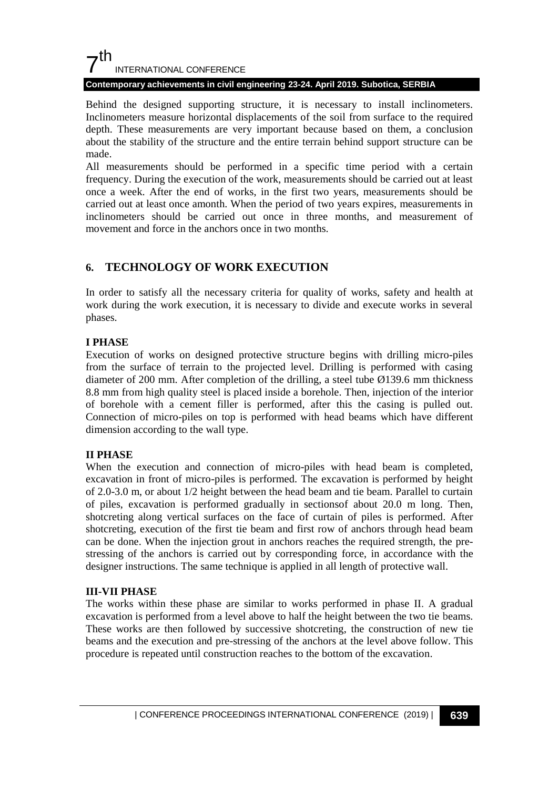# $7<sup>th</sup>$ INTERNATIONAL CONFERENCE

#### **Contemporary achievements in civil engineering 23-24. April 2019. Subotica, SERBIA**

Behind the designed supporting structure, it is necessary to install inclinometers. Inclinometers measure horizontal displacements of the soil from surface to the required depth. These measurements are very important because based on them, a conclusion about the stability of the structure and the entire terrain behind support structure can be made.

All measurements should be performed in a specific time period with a certain frequency. During the execution of the work, measurements should be carried out at least once a week. After the end of works, in the first two years, measurements should be carried out at least once amonth. When the period of two years expires, measurements in inclinometers should be carried out once in three months, and measurement of movement and force in the anchors once in two months.

## **6. TECHNOLOGY OF WORK EXECUTION**

In order to satisfy all the necessary criteria for quality of works, safety and health at work during the work execution, it is necessary to divide and execute works in several phases.

## **I PHASE**

Execution of works on designed protective structure begins with drilling micro-piles from the surface of terrain to the projected level. Drilling is performed with casing diameter of 200 mm. After completion of the drilling, a steel tube Ø139.6 mm thickness 8.8 mm from high quality steel is placed inside a borehole. Then, injection of the interior of borehole with a cement filler is performed, after this the casing is pulled out. Connection of micro-piles on top is performed with head beams which have different dimension according to the wall type.

#### **II PHASE**

When the execution and connection of micro-piles with head beam is completed, excavation in front of micro-piles is performed. The excavation is performed by height of 2.0-3.0 m, or about 1/2 height between the head beam and tie beam. Parallel to curtain of piles, excavation is performed gradually in sectionsof about 20.0 m long. Then, shotcreting along vertical surfaces on the face of curtain of piles is performed. After shotcreting, execution of the first tie beam and first row of anchors through head beam can be done. When the injection grout in anchors reaches the required strength, the prestressing of the anchors is carried out by corresponding force, in accordance with the designer instructions. The same technique is applied in all length of protective wall.

#### **III-VII PHASE**

The works within these phase are similar to works performed in phase II. A gradual excavation is performed from a level above to half the height between the two tie beams. These works are then followed by successive shotcreting, the construction of new tie beams and the execution and pre-stressing of the anchors at the level above follow. This procedure is repeated until construction reaches to the bottom of the excavation.